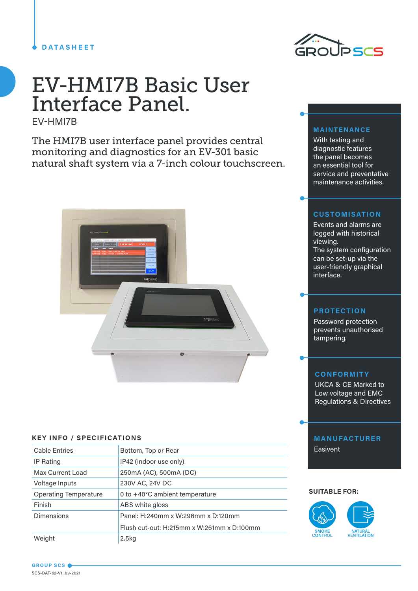# **DATASHEET**



# EV-HMI7B Basic User Interface Panel.

EV-HMI7B

The HMI7B user interface panel provides central monitoring and diagnostics for an EV-301 basic natural shaft system via a 7-inch colour touchscreen.



# **KEY INFO / SPECIFICATIONS**

| <b>Cable Entries</b>         | Bottom, Top or Rear                        |  |
|------------------------------|--------------------------------------------|--|
| <b>IP Rating</b>             | IP42 (indoor use only)                     |  |
| <b>Max Current Load</b>      | 250mA (AC), 500mA (DC)                     |  |
| Voltage Inputs               | 230V AC, 24V DC                            |  |
| <b>Operating Temperature</b> | 0 to +40°C ambient temperature             |  |
| Finish                       | ABS white gloss                            |  |
| <b>Dimensions</b>            | Panel: H:240mm x W:296mm x D:120mm         |  |
|                              | Flush cut-out: H:215mm x W:261mm x D:100mm |  |
| Weight                       | 2.5 <sub>kq</sub>                          |  |

# **MAINTENANCE**

With testing and diagnostic features the panel becomes an essential tool for service and preventative maintenance activities.

# **CUSTOMISATION**

Events and alarms are logged with historical viewing. The system configuration can be set-up via the user-friendly graphical interface.

### **PROTECTION**

Password protection prevents unauthorised tampering.

# **CONFORMITY**

UKCA & CE Marked to Low voltage and EMC Regulations & Directives

# **MANUFACTURER**

Easivent

#### **SUITABLE FOR:**